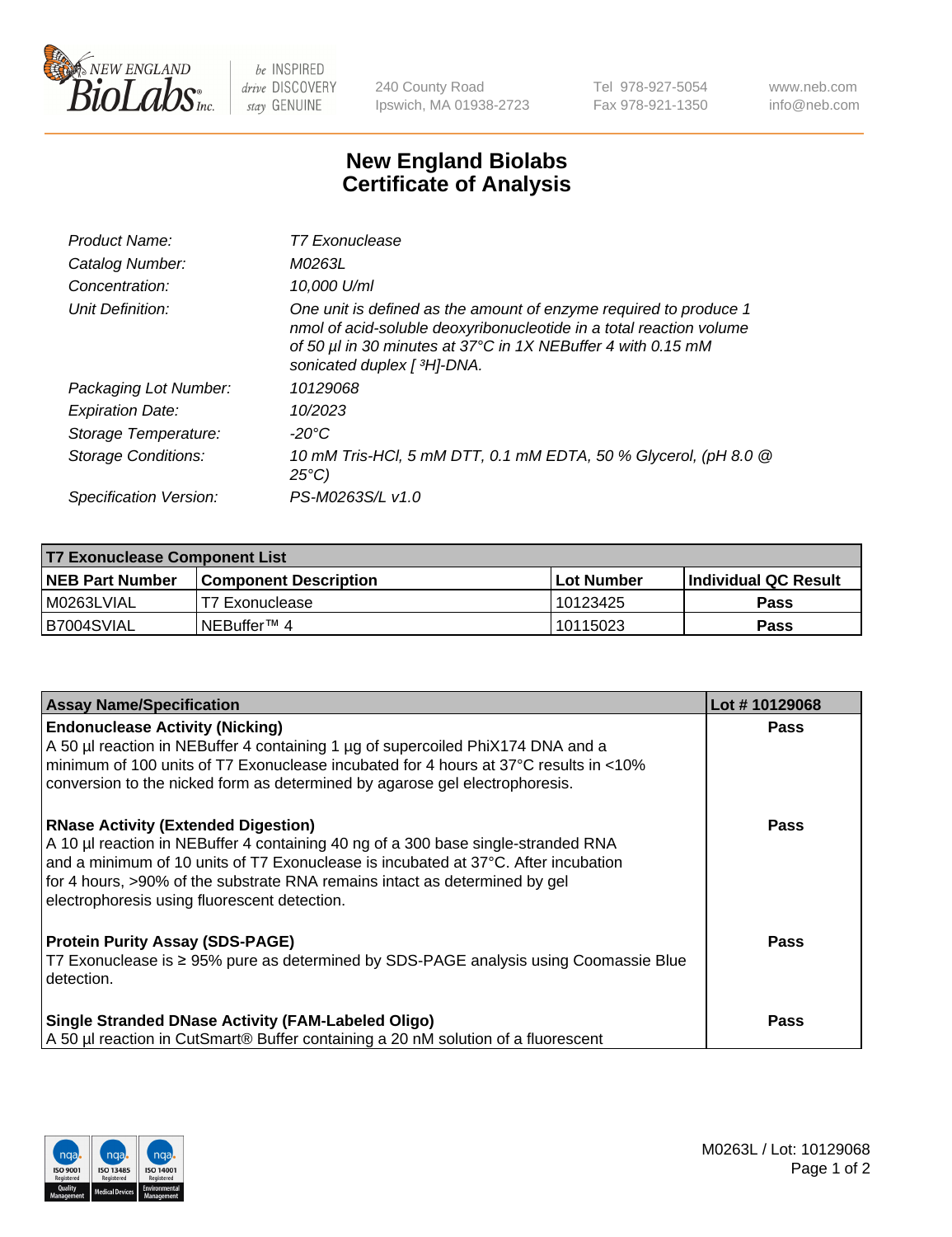

 $be$  INSPIRED drive DISCOVERY stay GENUINE

240 County Road Ipswich, MA 01938-2723 Tel 978-927-5054 Fax 978-921-1350 www.neb.com info@neb.com

## **New England Biolabs Certificate of Analysis**

| Product Name:           | T7 Exonuclease                                                                                                                                                                                                                          |
|-------------------------|-----------------------------------------------------------------------------------------------------------------------------------------------------------------------------------------------------------------------------------------|
| Catalog Number:         | M0263L                                                                                                                                                                                                                                  |
| Concentration:          | 10,000 U/ml                                                                                                                                                                                                                             |
| Unit Definition:        | One unit is defined as the amount of enzyme required to produce 1<br>nmol of acid-soluble deoxyribonucleotide in a total reaction volume<br>of 50 µl in 30 minutes at 37°C in 1X NEBuffer 4 with 0.15 mM<br>sonicated duplex [ 3H]-DNA. |
| Packaging Lot Number:   | 10129068                                                                                                                                                                                                                                |
| <b>Expiration Date:</b> | 10/2023                                                                                                                                                                                                                                 |
| Storage Temperature:    | -20°C                                                                                                                                                                                                                                   |
| Storage Conditions:     | 10 mM Tris-HCl, 5 mM DTT, 0.1 mM EDTA, 50 % Glycerol, (pH 8.0 @<br>$25^{\circ}$ C)                                                                                                                                                      |
| Specification Version:  | PS-M0263S/L v1.0                                                                                                                                                                                                                        |

| T7 Exonuclease Component List |                              |            |                       |  |  |
|-------------------------------|------------------------------|------------|-----------------------|--|--|
| <b>NEB Part Number</b>        | <b>Component Description</b> | Lot Number | ∣Individual QC Result |  |  |
| I M0263LVIAL                  | T7 Exonuclease               | 10123425   | <b>Pass</b>           |  |  |
| B7004SVIAL                    | INEBuffer™ 4                 | 10115023   | Pass                  |  |  |

| <b>Assay Name/Specification</b>                                                                                                                                                                                   | Lot #10129068 |
|-------------------------------------------------------------------------------------------------------------------------------------------------------------------------------------------------------------------|---------------|
| <b>Endonuclease Activity (Nicking)</b><br>A 50 µl reaction in NEBuffer 4 containing 1 µg of supercoiled PhiX174 DNA and a<br>minimum of 100 units of T7 Exonuclease incubated for 4 hours at 37°C results in <10% | <b>Pass</b>   |
| conversion to the nicked form as determined by agarose gel electrophoresis.                                                                                                                                       |               |
| <b>RNase Activity (Extended Digestion)</b><br>A 10 µl reaction in NEBuffer 4 containing 40 ng of a 300 base single-stranded RNA                                                                                   | Pass          |
| and a minimum of 10 units of T7 Exonuclease is incubated at 37°C. After incubation                                                                                                                                |               |
| for 4 hours, >90% of the substrate RNA remains intact as determined by gel<br>electrophoresis using fluorescent detection.                                                                                        |               |
| <b>Protein Purity Assay (SDS-PAGE)</b>                                                                                                                                                                            | <b>Pass</b>   |
| T7 Exonuclease is ≥ 95% pure as determined by SDS-PAGE analysis using Coomassie Blue<br>detection.                                                                                                                |               |
| <b>Single Stranded DNase Activity (FAM-Labeled Oligo)</b>                                                                                                                                                         | Pass          |
| A 50 µl reaction in CutSmart® Buffer containing a 20 nM solution of a fluorescent                                                                                                                                 |               |